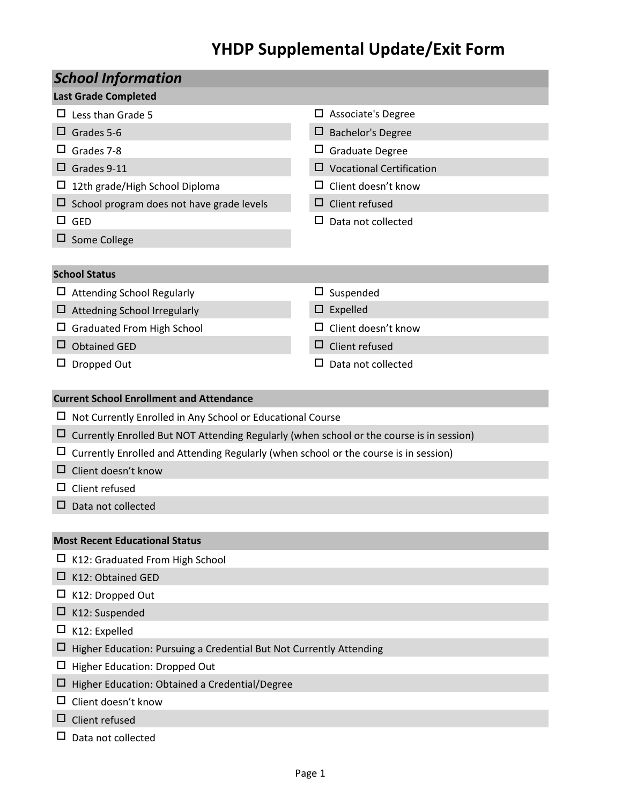## **YHDP Supplemental Update/Exit Form**

| <b>School Information</b>                                                                |                                 |  |  |  |  |  |  |
|------------------------------------------------------------------------------------------|---------------------------------|--|--|--|--|--|--|
| <b>Last Grade Completed</b>                                                              |                                 |  |  |  |  |  |  |
| $\Box$ Less than Grade 5                                                                 | $\Box$ Associate's Degree       |  |  |  |  |  |  |
| Grades 5-6<br>ப                                                                          | <b>Bachelor's Degree</b><br>Ц   |  |  |  |  |  |  |
| Grades 7-8                                                                               | $\Box$ Graduate Degree          |  |  |  |  |  |  |
| Grades 9-11                                                                              | $\Box$ Vocational Certification |  |  |  |  |  |  |
| 12th grade/High School Diploma                                                           | $\Box$ Client doesn't know      |  |  |  |  |  |  |
| School program does not have grade levels                                                | $\Box$ Client refused           |  |  |  |  |  |  |
| GED                                                                                      | Data not collected<br>ப         |  |  |  |  |  |  |
| Some College                                                                             |                                 |  |  |  |  |  |  |
|                                                                                          |                                 |  |  |  |  |  |  |
| <b>School Status</b>                                                                     |                                 |  |  |  |  |  |  |
| $\Box$ Attending School Regularly                                                        | Suspended<br>$\Box$             |  |  |  |  |  |  |
| Attedning School Irregularly                                                             | Expelled                        |  |  |  |  |  |  |
| <b>Graduated From High School</b>                                                        | Client doesn't know<br>ப        |  |  |  |  |  |  |
| <b>Obtained GED</b>                                                                      | $\Box$ Client refused           |  |  |  |  |  |  |
| Dropped Out<br>ப                                                                         | ப<br>Data not collected         |  |  |  |  |  |  |
|                                                                                          |                                 |  |  |  |  |  |  |
| <b>Current School Enrollment and Attendance</b>                                          |                                 |  |  |  |  |  |  |
| Not Currently Enrolled in Any School or Educational Course                               |                                 |  |  |  |  |  |  |
| Currently Enrolled But NOT Attending Regularly (when school or the course is in session) |                                 |  |  |  |  |  |  |
| Currently Enrolled and Attending Regularly (when school or the course is in session)     |                                 |  |  |  |  |  |  |
| Client doesn't know                                                                      |                                 |  |  |  |  |  |  |
| Client refused                                                                           |                                 |  |  |  |  |  |  |
| Data not collected                                                                       |                                 |  |  |  |  |  |  |
|                                                                                          |                                 |  |  |  |  |  |  |
| <b>Most Recent Educational Status</b>                                                    |                                 |  |  |  |  |  |  |
| K12: Graduated From High School                                                          |                                 |  |  |  |  |  |  |
| K12: Obtained GED<br>ப                                                                   |                                 |  |  |  |  |  |  |
| K12: Dropped Out                                                                         |                                 |  |  |  |  |  |  |
| K12: Suspended                                                                           |                                 |  |  |  |  |  |  |
| K12: Expelled<br>ப                                                                       |                                 |  |  |  |  |  |  |
| Higher Education: Pursuing a Credential But Not Currently Attending                      |                                 |  |  |  |  |  |  |
| Higher Education: Dropped Out                                                            |                                 |  |  |  |  |  |  |
| Higher Education: Obtained a Credential/Degree<br>Ц                                      |                                 |  |  |  |  |  |  |
| Client doesn't know                                                                      |                                 |  |  |  |  |  |  |
| Client refused                                                                           |                                 |  |  |  |  |  |  |
| Data not collected                                                                       |                                 |  |  |  |  |  |  |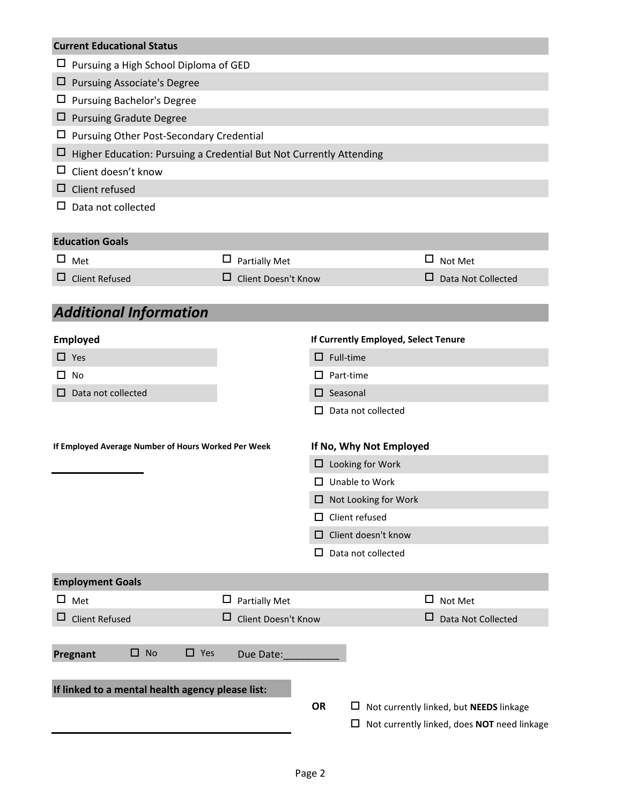|                                                     | <b>Current Educational Status</b>                                   |        |                      |                    |  |                             |                                      |   |                                             |
|-----------------------------------------------------|---------------------------------------------------------------------|--------|----------------------|--------------------|--|-----------------------------|--------------------------------------|---|---------------------------------------------|
| Ц                                                   | Pursuing a High School Diploma of GED                               |        |                      |                    |  |                             |                                      |   |                                             |
| $\Box$                                              | <b>Pursuing Associate's Degree</b>                                  |        |                      |                    |  |                             |                                      |   |                                             |
|                                                     | $\Box$ Pursuing Bachelor's Degree                                   |        |                      |                    |  |                             |                                      |   |                                             |
| □                                                   | <b>Pursuing Gradute Degree</b>                                      |        |                      |                    |  |                             |                                      |   |                                             |
| ப                                                   | Pursuing Other Post-Secondary Credential                            |        |                      |                    |  |                             |                                      |   |                                             |
| ⊔                                                   | Higher Education: Pursuing a Credential But Not Currently Attending |        |                      |                    |  |                             |                                      |   |                                             |
| ப                                                   | Client doesn't know                                                 |        |                      |                    |  |                             |                                      |   |                                             |
| ⊔                                                   | Client refused                                                      |        |                      |                    |  |                             |                                      |   |                                             |
|                                                     | $\Box$ Data not collected                                           |        |                      |                    |  |                             |                                      |   |                                             |
|                                                     | <b>Education Goals</b>                                              |        |                      |                    |  |                             |                                      |   |                                             |
|                                                     | $\square$ Met                                                       | $\Box$ | <b>Partially Met</b> |                    |  |                             |                                      | □ | Not Met                                     |
|                                                     | $\Box$ Client Refused                                               | ப      | Client Doesn't Know  |                    |  |                             |                                      | □ | Data Not Collected                          |
|                                                     |                                                                     |        |                      |                    |  |                             |                                      |   |                                             |
|                                                     | <b>Additional Information</b>                                       |        |                      |                    |  |                             |                                      |   |                                             |
|                                                     | <b>Employed</b>                                                     |        |                      |                    |  |                             | If Currently Employed, Select Tenure |   |                                             |
|                                                     | $\Box$ Yes                                                          |        |                      | $\Box$ Full-time   |  |                             |                                      |   |                                             |
|                                                     | □ No                                                                |        |                      | I I                |  | Part-time                   |                                      |   |                                             |
| $\Box$                                              | Data not collected                                                  |        |                      | $\square$ Seasonal |  |                             |                                      |   |                                             |
|                                                     |                                                                     |        |                      | LΙ                 |  |                             | Data not collected                   |   |                                             |
|                                                     |                                                                     |        |                      |                    |  |                             | If No, Why Not Employed              |   |                                             |
| If Employed Average Number of Hours Worked Per Week |                                                                     |        |                      |                    |  |                             | $\Box$ Looking for Work              |   |                                             |
|                                                     |                                                                     |        |                      | ப                  |  |                             | Unable to Work                       |   |                                             |
|                                                     |                                                                     |        |                      |                    |  | $\Box$ Not Looking for Work |                                      |   |                                             |
|                                                     |                                                                     |        |                      |                    |  | Client refused              |                                      |   |                                             |
|                                                     |                                                                     |        | Client doesn't know  |                    |  |                             |                                      |   |                                             |
|                                                     |                                                                     |        |                      | LΙ                 |  |                             | Data not collected                   |   |                                             |
|                                                     |                                                                     |        |                      |                    |  |                             |                                      |   |                                             |
|                                                     | <b>Employment Goals</b>                                             |        |                      |                    |  |                             |                                      |   |                                             |
| $\Box$                                              | Met                                                                 | $\Box$ | <b>Partially Met</b> |                    |  |                             |                                      | ш | Not Met                                     |
| $\Box$                                              | <b>Client Refused</b>                                               |        | Client Doesn't Know  |                    |  |                             |                                      | □ | Data Not Collected                          |
|                                                     |                                                                     |        |                      |                    |  |                             |                                      |   |                                             |
|                                                     | $\square$ No<br>$\Box$ Yes<br>Pregnant                              |        | Due Date:            |                    |  |                             |                                      |   |                                             |
|                                                     |                                                                     |        |                      |                    |  |                             |                                      |   |                                             |
|                                                     | If linked to a mental health agency please list:                    |        |                      |                    |  |                             |                                      |   |                                             |
|                                                     |                                                                     |        |                      | OR                 |  | ப                           |                                      |   | Not currently linked, but NEEDS linkage     |
|                                                     |                                                                     |        |                      |                    |  | □                           |                                      |   | Not currently linked, does NOT need linkage |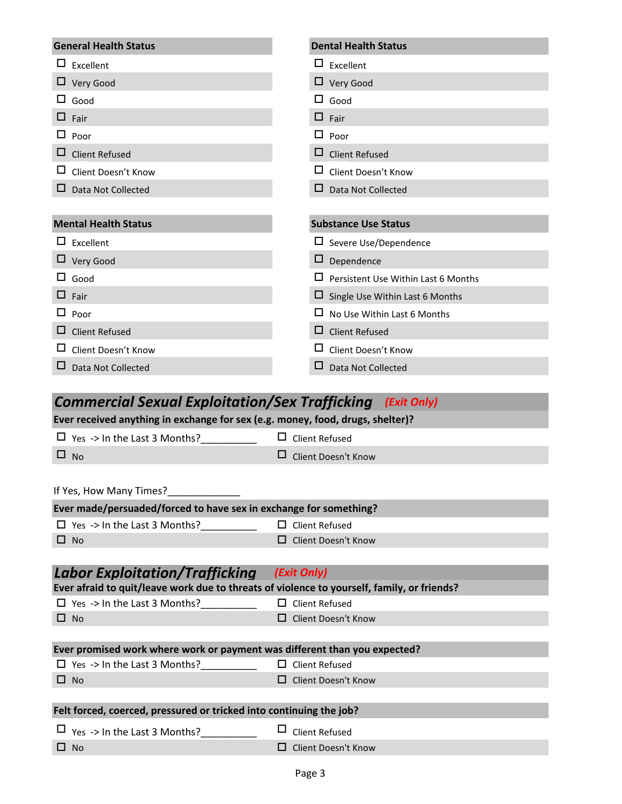| <b>General Health Status</b>                                                               | <b>Dental Health Status</b>                         |
|--------------------------------------------------------------------------------------------|-----------------------------------------------------|
|                                                                                            |                                                     |
| $\Box$ Excellent                                                                           | $\Box$ Excellent                                    |
| $\Box$ Very Good                                                                           | $\Box$ Very Good                                    |
| Good                                                                                       | $\Box$ Good                                         |
| ப<br>Fair                                                                                  | $\square$ Fair                                      |
| ப<br>Poor                                                                                  | $\Box$ Poor                                         |
| ப<br><b>Client Refused</b>                                                                 | <b>Client Refused</b>                               |
| Client Doesn't Know                                                                        | Client Doesn't Know                                 |
| Data Not Collected                                                                         | Data Not Collected<br>ப                             |
|                                                                                            |                                                     |
| <b>Mental Health Status</b>                                                                | <b>Substance Use Status</b>                         |
| $\Box$ Excellent                                                                           | $\Box$ Severe Use/Dependence                        |
| $\Box$ Very Good                                                                           | $\Box$ Dependence                                   |
| $\square$ Good                                                                             | $\Box$ Persistent Use Within Last 6 Months          |
| $\Box$ Fair                                                                                | $\Box$ Single Use Within Last 6 Months              |
| $\sqcup$ Poor                                                                              | $\Box$ No Use Within Last 6 Months                  |
| <b>Client Refused</b><br>ப                                                                 | <b>Client Refused</b>                               |
| Client Doesn't Know                                                                        | □ Client Doesn't Know                               |
| ப<br>Data Not Collected                                                                    | Data Not Collected                                  |
|                                                                                            |                                                     |
|                                                                                            |                                                     |
|                                                                                            | (Exit Only)                                         |
| <b>Commercial Sexual Exploitation/Sex Trafficking</b>                                      |                                                     |
| Ever received anything in exchange for sex (e.g. money, food, drugs, shelter)?             | ப                                                   |
| $\Box$ Yes -> In the Last 3 Months?<br>□                                                   | <b>Client Refused</b>                               |
| <b>No</b>                                                                                  | <b>Client Doesn't Know</b>                          |
|                                                                                            |                                                     |
| If Yes, How Many Times?                                                                    |                                                     |
| Ever made/persuaded/forced to have sex in exchange for something?                          |                                                     |
| $\Box$ Yes -> In the Last 3 Months?<br>$\Box$ No                                           | $\Box$ Client Refused<br>$\Box$ Client Doesn't Know |
|                                                                                            |                                                     |
|                                                                                            | (Exit Only)                                         |
| Ever afraid to quit/leave work due to threats of violence to yourself, family, or friends? |                                                     |
| <b>Labor Exploitation/Trafficking</b><br>$\Box$ Yes -> In the Last 3 Months?               | $\Box$ Client Refused                               |
| $\Box$ No                                                                                  | $\Box$ Client Doesn't Know                          |
|                                                                                            |                                                     |
| Ever promised work where work or payment was different than you expected?                  |                                                     |
| $\Box$ Yes -> In the Last 3 Months?                                                        | $\Box$ Client Refused                               |
| $\Box$ No                                                                                  | $\Box$ Client Doesn't Know                          |
| Felt forced, coerced, pressured or tricked into continuing the job?                        |                                                     |
| $\Box$ Yes -> In the Last 3 Months?                                                        | <b>Client Refused</b>                               |